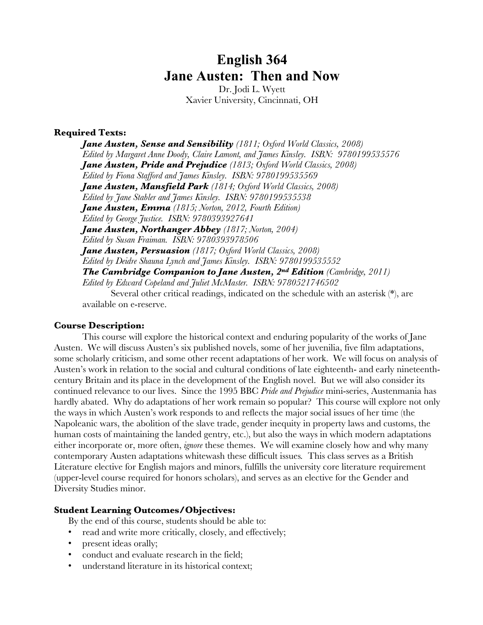# **English 364 Jane Austen: Then and Now**

Dr. Jodi L. Wyett Xavier University, Cincinnati, OH

#### **Required Texts:**

*Jane Austen, Sense and Sensibility (1811; Oxford World Classics, 2008) Edited by Margaret Anne Doody, Claire Lamont, and James Kinsley. ISBN: 9780199535576 Jane Austen, Pride and Prejudice (1813; Oxford World Classics, 2008) Edited by Fiona Stafford and James Kinsley. ISBN: 9780199535569 Jane Austen, Mansfield Park (1814; Oxford World Classics, 2008) Edited by Jane Stabler and James Kinsley. ISBN: 9780199535538 Jane Austen, Emma (1815; Norton, 2012, Fourth Edition) Edited by George Justice. ISBN: 9780393927641 Jane Austen, Northanger Abbey (1817; Norton, 2004) Edited by Susan Fraiman. ISBN: 9780393978506 Jane Austen, Persuasion (1817; Oxford World Classics, 2008) Edited by Deidre Shauna Lynch and James Kinsley. ISBN: 9780199535552 The Cambridge Companion to Jane Austen, 2nd Edition (Cambridge, 2011) Edited by Edward Copeland and Juliet McMaster. ISBN: 9780521746502*

Several other critical readings, indicated on the schedule with an asterisk (\*), are available on e-reserve.

#### **Course Description:**

This course will explore the historical context and enduring popularity of the works of Jane Austen. We will discuss Austen's six published novels, some of her juvenilia, five film adaptations, some scholarly criticism, and some other recent adaptations of her work. We will focus on analysis of Austen's work in relation to the social and cultural conditions of late eighteenth- and early nineteenthcentury Britain and its place in the development of the English novel. But we will also consider its continued relevance to our lives. Since the 1995 BBC *Pride and Prejudice* mini-series, Austenmania has hardly abated. Why do adaptations of her work remain so popular? This course will explore not only the ways in which Austen's work responds to and reflects the major social issues of her time (the Napoleanic wars, the abolition of the slave trade, gender inequity in property laws and customs, the human costs of maintaining the landed gentry, etc.), but also the ways in which modern adaptations either incorporate or, more often, *ignore* these themes. We will examine closely how and why many contemporary Austen adaptations whitewash these difficult issues*.* This class serves as a British Literature elective for English majors and minors, fulfills the university core literature requirement (upper-level course required for honors scholars), and serves as an elective for the Gender and Diversity Studies minor.

#### **Student Learning Outcomes/Objectives:**

By the end of this course, students should be able to:

- read and write more critically, closely, and effectively;
- present ideas orally;
- conduct and evaluate research in the field;
- understand literature in its historical context;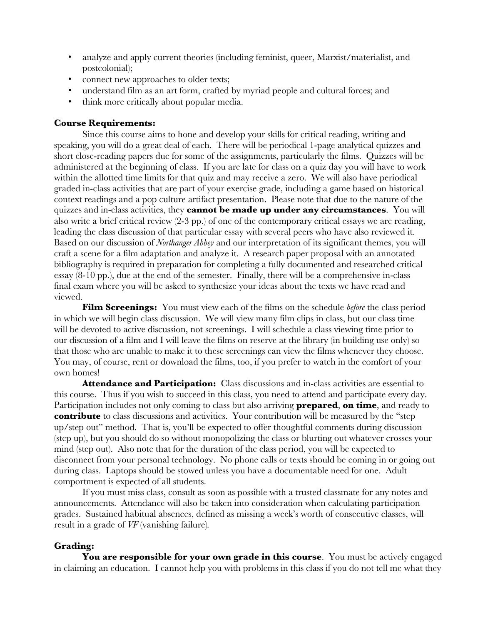- analyze and apply current theories (including feminist, queer, Marxist/materialist, and postcolonial);
- connect new approaches to older texts;
- understand film as an art form, crafted by myriad people and cultural forces; and
- think more critically about popular media.

#### **Course Requirements:**

Since this course aims to hone and develop your skills for critical reading, writing and speaking, you will do a great deal of each. There will be periodical 1-page analytical quizzes and short close-reading papers due for some of the assignments, particularly the films. Quizzes will be administered at the beginning of class. If you are late for class on a quiz day you will have to work within the allotted time limits for that quiz and may receive a zero. We will also have periodical graded in-class activities that are part of your exercise grade, including a game based on historical context readings and a pop culture artifact presentation. Please note that due to the nature of the quizzes and in-class activities, they **cannot be made up under any circumstances**. You will also write a brief critical review (2-3 pp.) of one of the contemporary critical essays we are reading, leading the class discussion of that particular essay with several peers who have also reviewed it. Based on our discussion of *Northanger Abbey* and our interpretation of its significant themes, you will craft a scene for a film adaptation and analyze it. A research paper proposal with an annotated bibliography is required in preparation for completing a fully documented and researched critical essay (8-10 pp.), due at the end of the semester. Finally, there will be a comprehensive in-class final exam where you will be asked to synthesize your ideas about the texts we have read and viewed.

**Film Screenings:** You must view each of the films on the schedule *before* the class period in which we will begin class discussion. We will view many film clips in class, but our class time will be devoted to active discussion, not screenings. I will schedule a class viewing time prior to our discussion of a film and I will leave the films on reserve at the library (in building use only) so that those who are unable to make it to these screenings can view the films whenever they choose. You may, of course, rent or download the films, too, if you prefer to watch in the comfort of your own homes!

**Attendance and Participation:** Class discussions and in-class activities are essential to this course. Thus if you wish to succeed in this class, you need to attend and participate every day. Participation includes not only coming to class but also arriving **prepared**, **on time**, and ready to **contribute** to class discussions and activities. Your contribution will be measured by the "step up/step out" method. That is, you'll be expected to offer thoughtful comments during discussion (step up), but you should do so without monopolizing the class or blurting out whatever crosses your mind (step out). Also note that for the duration of the class period, you will be expected to disconnect from your personal technology. No phone calls or texts should be coming in or going out during class. Laptops should be stowed unless you have a documentable need for one. Adult comportment is expected of all students.

If you must miss class, consult as soon as possible with a trusted classmate for any notes and announcements. Attendance will also be taken into consideration when calculating participation grades. Sustained habitual absences, defined as missing a week's worth of consecutive classes, will result in a grade of *VF* (vanishing failure)*.*

#### **Grading:**

You are responsible for your own grade in this course. You must be actively engaged in claiming an education. I cannot help you with problems in this class if you do not tell me what they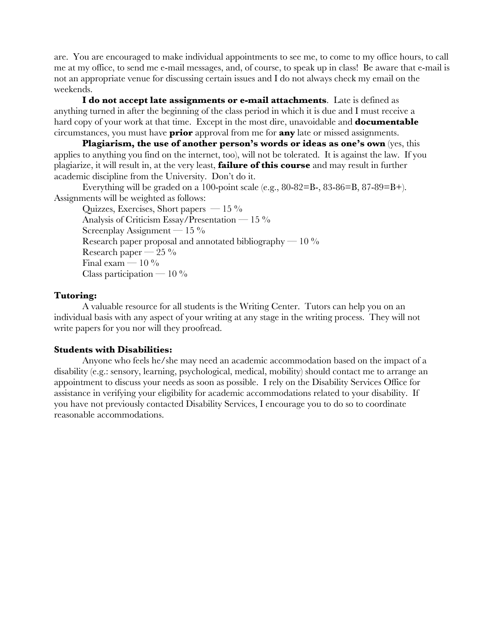are. You are encouraged to make individual appointments to see me, to come to my office hours, to call me at my office, to send me e-mail messages, and, of course, to speak up in class! Be aware that e-mail is not an appropriate venue for discussing certain issues and I do not always check my email on the weekends.

**I do not accept late assignments or e-mail attachments**. Late is defined as anything turned in after the beginning of the class period in which it is due and I must receive a hard copy of your work at that time. Except in the most dire, unavoidable and **documentable** circumstances, you must have **prior** approval from me for **any** late or missed assignments.

**Plagiarism, the use of another person's words or ideas as one's own** (yes, this applies to anything you find on the internet, too), will not be tolerated. It is against the law. If you plagiarize, it will result in, at the very least, **failure of this course** and may result in further academic discipline from the University. Don't do it.

Everything will be graded on a 100-point scale (e.g.,  $80-82=$ B-,  $83-86=$ B,  $87-89=$ B+). Assignments will be weighted as follows:

Quizzes, Exercises, Short papers —  $15\%$ Analysis of Criticism Essay/Presentation  $-15\%$ Screenplay Assignment —  $15\%$ Research paper proposal and annotated bibliography  $-10\%$ Research paper —  $25\%$ Final exam —  $10\%$ Class participation —  $10\%$ 

#### **Tutoring:**

A valuable resource for all students is the Writing Center. Tutors can help you on an individual basis with any aspect of your writing at any stage in the writing process. They will not write papers for you nor will they proofread.

#### **Students with Disabilities:**

Anyone who feels he/she may need an academic accommodation based on the impact of a disability (e.g.: sensory, learning, psychological, medical, mobility) should contact me to arrange an appointment to discuss your needs as soon as possible. I rely on the Disability Services Office for assistance in verifying your eligibility for academic accommodations related to your disability. If you have not previously contacted Disability Services, I encourage you to do so to coordinate reasonable accommodations.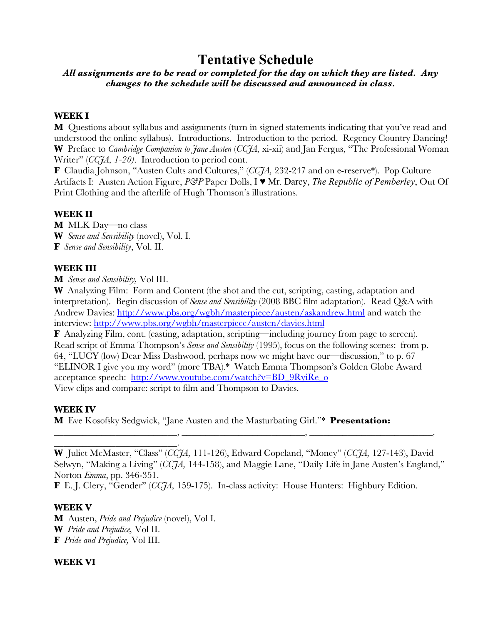# **Tentative Schedule**

# *All assignments are to be read or completed for the day on which they are listed. Any changes to the schedule will be discussed and announced in class.*

# **WEEK I**

**M** Questions about syllabus and assignments (turn in signed statements indicating that you've read and understood the online syllabus). Introductions. Introduction to the period. Regency Country Dancing! **W** Preface to *Cambridge Companion to Jane Austen* (*CCJA,* xi-xii) and Jan Fergus, "The Professional Woman Writer" (*CCJA, 1-20)*. Introduction to period cont.

**F** Claudia Johnson, "Austen Cults and Cultures," (*CCJA,* 232-247 and on e-reserve\*). Pop Culture Artifacts I: Austen Action Figure, *P&P* Paper Dolls, I ♥ Mr. Darcy, *The Republic of Pemberley*, Out Of Print Clothing and the afterlife of Hugh Thomson's illustrations.

#### **WEEK II**

**M** MLK Day—no class **W** *Sense and Sensibility* (novel), Vol. I. **F** *Sense and Sensibility*, Vol. II.

#### **WEEK III**

**M** *Sense and Sensibility,* Vol III.

**W** Analyzing Film: Form and Content (the shot and the cut, scripting, casting, adaptation and interpretation). Begin discussion of *Sense and Sensibility* (2008 BBC film adaptation). Read Q&A with Andrew Davies: http://www.pbs.org/wgbh/masterpiece/austen/askandrew.html and watch the interview: http://www.pbs.org/wgbh/masterpiece/austen/davies.html

**F** Analyzing Film, cont. (casting, adaptation, scripting—including journey from page to screen). Read script of Emma Thompson's *Sense and Sensibility* (1995), focus on the following scenes: from p. 64, "LUCY (low) Dear Miss Dashwood, perhaps now we might have our—discussion," to p. 67 "ELINOR I give you my word" (more TBA).\* Watch Emma Thompson's Golden Globe Award acceptance speech: http://www.youtube.com/watch?v=BD\_9RyiRe\_o View clips and compare: script to film and Thompson to Davies.

# **WEEK IV**

**M** Eve Kosofsky Sedgwick, "Jane Austen and the Masturbating Girl."\* **Presentation:**

**W** Juliet McMaster, "Class" (*CCJA,* 111-126), Edward Copeland, "Money" (*CCJA,* 127-143), David Selwyn, "Making a Living" (*CCJA,* 144-158), and Maggie Lane, "Daily Life in Jane Austen's England," Norton *Emma*, pp. 346-351.

\_\_\_\_\_\_\_\_\_\_\_\_\_\_\_\_\_\_\_\_\_\_\_\_\_\_, \_\_\_\_\_\_\_\_\_\_\_\_\_\_\_\_\_\_\_\_\_\_\_\_\_\_, \_\_\_\_\_\_\_\_\_\_\_\_\_\_\_\_\_\_\_\_\_\_\_\_\_\_,

**F** E. J. Clery, "Gender" (*CCJA,* 159-175). In-class activity: House Hunters: Highbury Edition.

# **WEEK V**

**M** Austen, *Pride and Prejudice* (novel), Vol I. **W** *Pride and Prejudice,* Vol II. **F** *Pride and Prejudice,* Vol III.

\_\_\_\_\_\_\_\_\_\_\_\_\_\_\_\_\_\_\_\_\_\_\_\_\_\_.

# **WEEK VI**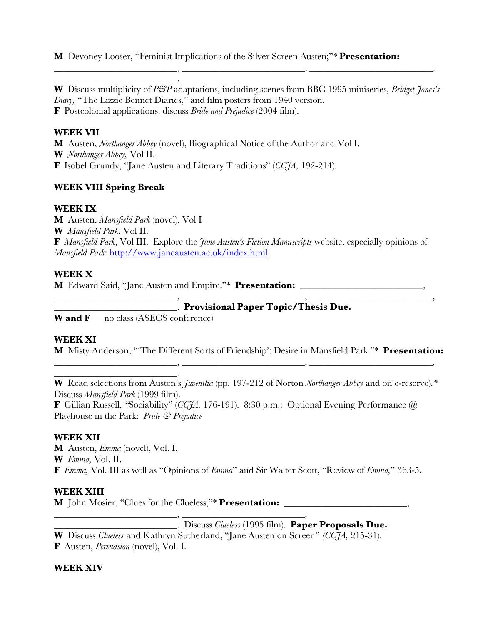**M** Devoney Looser, "Feminist Implications of the Silver Screen Austen;"\* **Presentation:** 

**W** Discuss multiplicity of *P&P* adaptations, including scenes from BBC 1995 miniseries, *Bridget Jones's Diary,* "The Lizzie Bennet Diaries," and film posters from 1940 version. **F** Postcolonial applications: discuss *Bride and Prejudice* (2004 film).

\_\_\_\_\_\_\_\_\_\_\_\_\_\_\_\_\_\_\_\_\_\_\_\_\_\_, \_\_\_\_\_\_\_\_\_\_\_\_\_\_\_\_\_\_\_\_\_\_\_\_\_\_, \_\_\_\_\_\_\_\_\_\_\_\_\_\_\_\_\_\_\_\_\_\_\_\_\_\_,

# **WEEK VII**

**M** Austen, *Northanger Abbey* (novel), Biographical Notice of the Author and Vol I. **W** *Northanger Abbey,* Vol II. **F** Isobel Grundy, "Jane Austen and Literary Traditions" (*CCJA,* 192-214).

# **WEEK VIII Spring Break**

\_\_\_\_\_\_\_\_\_\_\_\_\_\_\_\_\_\_\_\_\_\_\_\_\_\_.

# **WEEK IX**

**M** Austen, *Mansfield Park* (novel), Vol I **W** *Mansfield Park*, Vol II. **F** *Mansfield Park*, Vol III. Explore the *Jane Austen's Fiction Manuscripts* website, especially opinions of *Mansfield Park*: http://www.janeausten.ac.uk/index.html.

# **WEEK X**

**M** Edward Said, "Jane Austen and Empire."\* **Presentation:** \_\_\_\_\_\_\_\_\_\_\_\_\_\_\_\_\_\_\_\_\_\_\_\_\_\_,

\_\_\_\_\_\_\_\_\_\_\_\_\_\_\_\_\_\_\_\_\_\_\_\_\_\_. **Provisional Paper Topic/Thesis Due.**

**W** and  $\mathbf{F}$  — no class (ASECS conference)

\_\_\_\_\_\_\_\_\_\_\_\_\_\_\_\_\_\_\_\_\_\_\_\_\_\_.

# **WEEK XI**

**M** Misty Anderson, "'The Different Sorts of Friendship': Desire in Mansfield Park."\* **Presentation:**  \_\_\_\_\_\_\_\_\_\_\_\_\_\_\_\_\_\_\_\_\_\_\_\_\_\_, \_\_\_\_\_\_\_\_\_\_\_\_\_\_\_\_\_\_\_\_\_\_\_\_\_\_, \_\_\_\_\_\_\_\_\_\_\_\_\_\_\_\_\_\_\_\_\_\_\_\_\_\_,

 $\longrightarrow,$   $\longrightarrow,$   $\longrightarrow,$   $\longrightarrow,$   $\longrightarrow,$   $\longrightarrow,$   $\longrightarrow,$   $\longrightarrow,$   $\longrightarrow,$   $\longrightarrow,$   $\longrightarrow,$   $\longrightarrow,$   $\longrightarrow,$   $\longrightarrow,$   $\longrightarrow,$   $\longrightarrow,$   $\longrightarrow,$   $\longrightarrow,$   $\longrightarrow,$   $\longrightarrow,$   $\longrightarrow,$   $\longrightarrow,$   $\longrightarrow,$   $\longrightarrow,$   $\longrightarrow,$   $\longrightarrow,$   $\longrightarrow,$   $\longrightarrow,$   $\longrightarrow,$   $\longrightarrow,$   $\longrightarrow,$   $\longrightarrow,$   $\longrightarrow,$   $\longrightarrow,$   $\longrightarrow,$   $\longrightarrow,$   $\longrightarrow,$ 

**W** Read selections from Austen's *Juvenilia* (pp. 197-212 of Norton *Northanger Abbey* and on e-reserve).*\**  Discuss *Mansfield Park* (1999 film).

**F** Gillian Russell, *"*Sociability" (*CCJA,* 176-191). 8:30 p.m.: Optional Evening Performance *@*  Playhouse in the Park: *Pride & Prejudice* 

# **WEEK XII**

**M** Austen, *Emma* (novel), Vol. I. **W** *Emma,* Vol. II. **F** *Emma,* Vol. III as well as "Opinions of *Emma*" and Sir Walter Scott, "Review of *Emma,*" 363-5.

# **WEEK XIII**

**M** John Mosier, "Clues for the Clueless,"\* **Presentation:** \_\_\_\_\_\_\_\_\_\_\_\_\_\_\_\_\_\_\_\_\_\_\_\_\_\_,

\_\_\_\_\_\_\_\_\_\_\_\_\_\_\_\_\_\_\_\_\_\_\_\_\_\_, \_\_\_\_\_\_\_\_\_\_\_\_\_\_\_\_\_\_\_\_\_\_\_\_\_\_, \_\_\_\_\_\_\_\_\_\_\_\_\_\_\_\_\_\_\_\_\_\_\_\_\_\_. Discuss *Clueless* (1995 film). **Paper Proposals Due.**

**W** Discuss *Clueless* and Kathryn Sutherland, "Jane Austen on Screen" *(CCJA,* 215-31). **F** Austen, *Persuasion* (novel), Vol. I.

# **WEEK XIV**